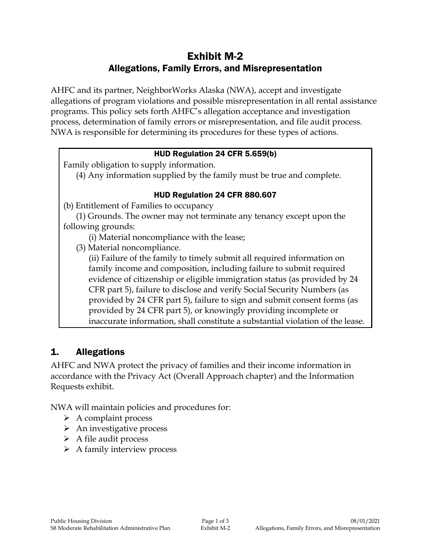# Exhibit M-2 Allegations, Family Errors, and Misrepresentation

AHFC and its partner, NeighborWorks Alaska (NWA), accept and investigate allegations of program violations and possible misrepresentation in all rental assistance programs. This policy sets forth AHFC's allegation acceptance and investigation process, determination of family errors or misrepresentation, and file audit process. NWA is responsible for determining its procedures for these types of actions.

### HUD Regulation 24 CFR 5.659(b)

Family obligation to supply information.

(4) Any information supplied by the family must be true and complete.

### HUD Regulation 24 CFR 880.607

(b) Entitlement of Families to occupancy

(1) Grounds. The owner may not terminate any tenancy except upon the following grounds:

(i) Material noncompliance with the lease;

(3) Material noncompliance.

(ii) Failure of the family to timely submit all required information on family income and composition, including failure to submit required evidence of citizenship or eligible immigration status (as provided by 24 CFR part 5), failure to disclose and verify Social Security Numbers (as provided by 24 CFR part 5), failure to sign and submit consent forms (as provided by 24 CFR part 5), or knowingly providing incomplete or inaccurate information, shall constitute a substantial violation of the lease.

# 1. Allegations

AHFC and NWA protect the privacy of families and their income information in accordance with the Privacy Act (Overall Approach chapter) and the Information Requests exhibit.

NWA will maintain policies and procedures for:

- $\triangleright$  A complaint process
- $\triangleright$  An investigative process
- $\triangleright$  A file audit process
- $\triangleright$  A family interview process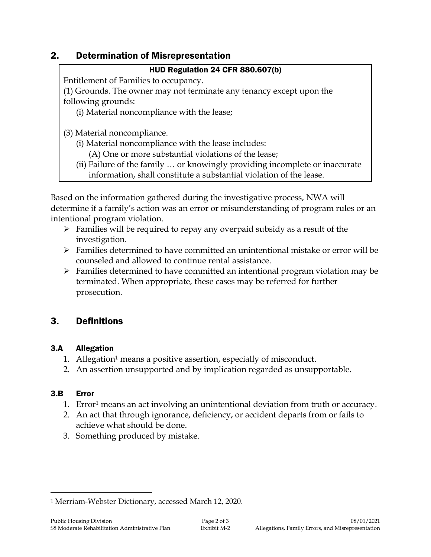# 2. Determination of Misrepresentation

### HUD Regulation 24 CFR 880.607(b)

Entitlement of Families to occupancy.

(1) Grounds. The owner may not terminate any tenancy except upon the following grounds:

(i) Material noncompliance with the lease;

(3) Material noncompliance.

- (i) Material noncompliance with the lease includes:
	- (A) One or more substantial violations of the lease;
- (ii) Failure of the family … or knowingly providing incomplete or inaccurate information, shall constitute a substantial violation of the lease.

Based on the information gathered during the investigative process, NWA will determine if a family's action was an error or misunderstanding of program rules or an intentional program violation.

- $\triangleright$  Families will be required to repay any overpaid subsidy as a result of the investigation.
- $\triangleright$  Families determined to have committed an unintentional mistake or error will be counseled and allowed to continue rental assistance.
- $\triangleright$  Families determined to have committed an intentional program violation may be terminated. When appropriate, these cases may be referred for further prosecution.

# 3. Definitions

# 3.A Allegation

- 1. Allegation<sup>1</sup> means a positive assertion, especially of misconduct.
- 2. An assertion unsupported and by implication regarded as unsupportable.

# 3.B Error

 $\overline{a}$ 

- 1. Error<sup>1</sup> means an act involving an unintentional deviation from truth or accuracy.
- 2. An act that through ignorance, deficiency, or accident departs from or fails to achieve what should be done.
- 3. Something produced by mistake.

<sup>1</sup> Merriam-Webster Dictionary, accessed March 12, 2020.